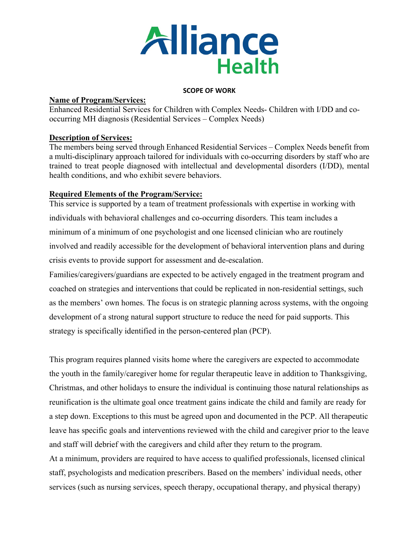

#### **SCOPE OF WORK**

#### **Name of Program/Services:**

Enhanced Residential Services for Children with Complex Needs- Children with I/DD and cooccurring MH diagnosis (Residential Services – Complex Needs)

## **Description of Services:**

The members being served through Enhanced Residential Services – Complex Needs benefit from a multi-disciplinary approach tailored for individuals with co-occurring disorders by staff who are trained to treat people diagnosed with intellectual and developmental disorders (I/DD), mental health conditions, and who exhibit severe behaviors.

## **Required Elements of the Program/Service:**

This service is supported by a team of treatment professionals with expertise in working with individuals with behavioral challenges and co-occurring disorders. This team includes a minimum of a minimum of one psychologist and one licensed clinician who are routinely involved and readily accessible for the development of behavioral intervention plans and during crisis events to provide support for assessment and de-escalation.

Families/caregivers/guardians are expected to be actively engaged in the treatment program and coached on strategies and interventions that could be replicated in non-residential settings, such as the members' own homes. The focus is on strategic planning across systems, with the ongoing development of a strong natural support structure to reduce the need for paid supports. This strategy is specifically identified in the person-centered plan (PCP).

This program requires planned visits home where the caregivers are expected to accommodate the youth in the family/caregiver home for regular therapeutic leave in addition to Thanksgiving, Christmas, and other holidays to ensure the individual is continuing those natural relationships as reunification is the ultimate goal once treatment gains indicate the child and family are ready for a step down. Exceptions to this must be agreed upon and documented in the PCP. All therapeutic leave has specific goals and interventions reviewed with the child and caregiver prior to the leave and staff will debrief with the caregivers and child after they return to the program.

At a minimum, providers are required to have access to qualified professionals, licensed clinical staff, psychologists and medication prescribers. Based on the members' individual needs, other services (such as nursing services, speech therapy, occupational therapy, and physical therapy)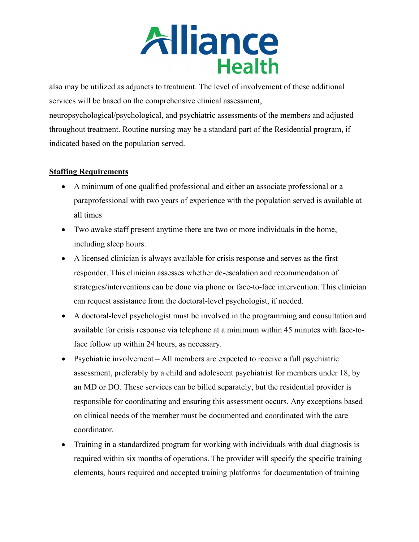

also may be utilized as adjuncts to treatment. The level of involvement of these additional services will be based on the comprehensive clinical assessment, neuropsychological/psychological, and psychiatric assessments of the members and adjusted throughout treatment. Routine nursing may be a standard part of the Residential program, if indicated based on the population served.

#### **Staffing Requirements**

- A minimum of one qualified professional and either an associate professional or a paraprofessional with two years of experience with the population served is available at all times
- Two awake staff present anytime there are two or more individuals in the home, including sleep hours.
- A licensed clinician is always available for crisis response and serves as the first responder. This clinician assesses whether de-escalation and recommendation of strategies/interventions can be done via phone or face-to-face intervention. This clinician can request assistance from the doctoral-level psychologist, if needed.
- A doctoral-level psychologist must be involved in the programming and consultation and available for crisis response via telephone at a minimum within 45 minutes with face-toface follow up within 24 hours, as necessary.
- Psychiatric involvement All members are expected to receive a full psychiatric assessment, preferably by a child and adolescent psychiatrist for members under 18, by an MD or DO. These services can be billed separately, but the residential provider is responsible for coordinating and ensuring this assessment occurs. Any exceptions based on clinical needs of the member must be documented and coordinated with the care coordinator.
- Training in a standardized program for working with individuals with dual diagnosis is required within six months of operations. The provider will specify the specific training elements, hours required and accepted training platforms for documentation of training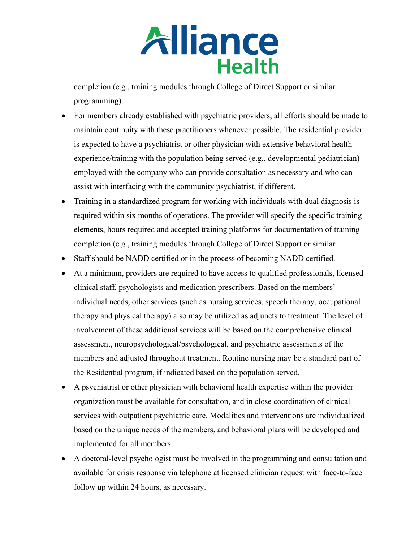

completion (e.g., training modules through College of Direct Support or similar programming).

- For members already established with psychiatric providers, all efforts should be made to maintain continuity with these practitioners whenever possible. The residential provider is expected to have a psychiatrist or other physician with extensive behavioral health experience/training with the population being served (e.g., developmental pediatrician) employed with the company who can provide consultation as necessary and who can assist with interfacing with the community psychiatrist, if different.
- Training in a standardized program for working with individuals with dual diagnosis is required within six months of operations. The provider will specify the specific training elements, hours required and accepted training platforms for documentation of training completion (e.g., training modules through College of Direct Support or similar
- Staff should be NADD certified or in the process of becoming NADD certified.
- At a minimum, providers are required to have access to qualified professionals, licensed clinical staff, psychologists and medication prescribers. Based on the members' individual needs, other services (such as nursing services, speech therapy, occupational therapy and physical therapy) also may be utilized as adjuncts to treatment. The level of involvement of these additional services will be based on the comprehensive clinical assessment, neuropsychological/psychological, and psychiatric assessments of the members and adjusted throughout treatment. Routine nursing may be a standard part of the Residential program, if indicated based on the population served.
- A psychiatrist or other physician with behavioral health expertise within the provider organization must be available for consultation, and in close coordination of clinical services with outpatient psychiatric care. Modalities and interventions are individualized based on the unique needs of the members, and behavioral plans will be developed and implemented for all members.
- A doctoral-level psychologist must be involved in the programming and consultation and available for crisis response via telephone at licensed clinician request with face-to-face follow up within 24 hours, as necessary.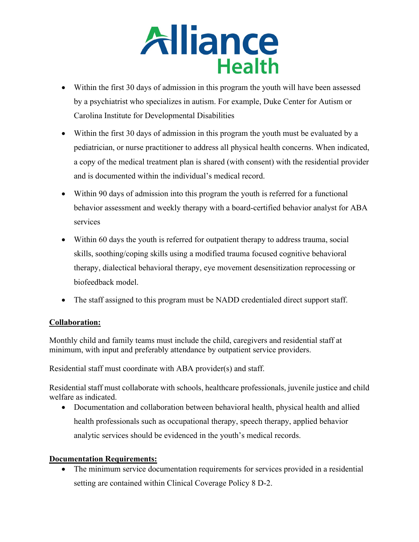

- Within the first 30 days of admission in this program the youth will have been assessed by a psychiatrist who specializes in autism. For example, Duke Center for Autism or Carolina Institute for Developmental Disabilities
- Within the first 30 days of admission in this program the youth must be evaluated by a pediatrician, or nurse practitioner to address all physical health concerns. When indicated, a copy of the medical treatment plan is shared (with consent) with the residential provider and is documented within the individual's medical record.
- Within 90 days of admission into this program the youth is referred for a functional behavior assessment and weekly therapy with a board-certified behavior analyst for ABA services
- Within 60 days the youth is referred for outpatient therapy to address trauma, social skills, soothing/coping skills using a modified trauma focused cognitive behavioral therapy, dialectical behavioral therapy, eye movement desensitization reprocessing or biofeedback model.
- The staff assigned to this program must be NADD credentialed direct support staff.

# **Collaboration:**

Monthly child and family teams must include the child, caregivers and residential staff at minimum, with input and preferably attendance by outpatient service providers.

Residential staff must coordinate with ABA provider(s) and staff.

Residential staff must collaborate with schools, healthcare professionals, juvenile justice and child welfare as indicated.

• Documentation and collaboration between behavioral health, physical health and allied health professionals such as occupational therapy, speech therapy, applied behavior analytic services should be evidenced in the youth's medical records.

# **Documentation Requirements:**

The minimum service documentation requirements for services provided in a residential setting are contained within Clinical Coverage Policy 8 D-2.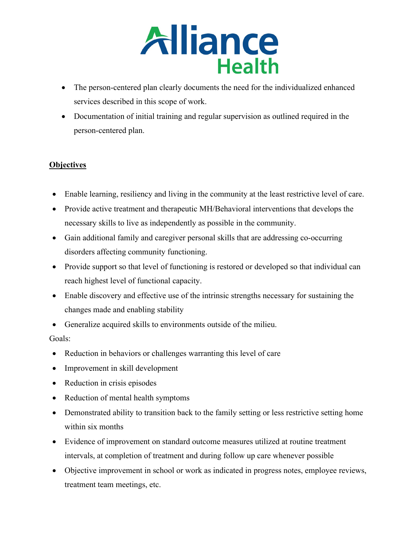

- The person-centered plan clearly documents the need for the individualized enhanced services described in this scope of work.
- Documentation of initial training and regular supervision as outlined required in the person-centered plan.

# **Objectives**

- Enable learning, resiliency and living in the community at the least restrictive level of care.
- Provide active treatment and therapeutic MH/Behavioral interventions that develops the necessary skills to live as independently as possible in the community.
- Gain additional family and caregiver personal skills that are addressing co-occurring disorders affecting community functioning.
- Provide support so that level of functioning is restored or developed so that individual can reach highest level of functional capacity.
- Enable discovery and effective use of the intrinsic strengths necessary for sustaining the changes made and enabling stability
- Generalize acquired skills to environments outside of the milieu.

## Goals:

- Reduction in behaviors or challenges warranting this level of care
- Improvement in skill development
- Reduction in crisis episodes
- Reduction of mental health symptoms
- Demonstrated ability to transition back to the family setting or less restrictive setting home within six months
- Evidence of improvement on standard outcome measures utilized at routine treatment intervals, at completion of treatment and during follow up care whenever possible
- Objective improvement in school or work as indicated in progress notes, employee reviews, treatment team meetings, etc.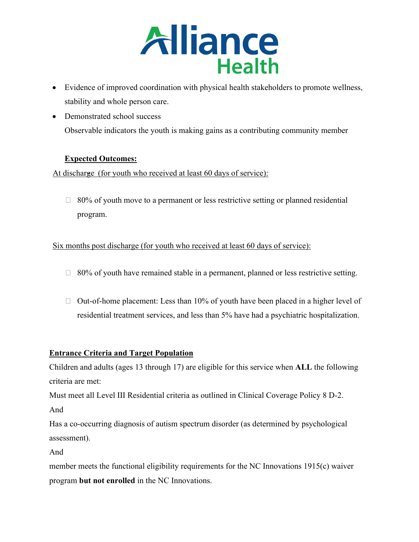

- Evidence of improved coordination with physical health stakeholders to promote wellness, stability and whole person care.
- Demonstrated school success Observable indicators the youth is making gains as a contributing community member

## **Expected Outcomes:**

At discharge (for youth who received at least 60 days of service):

 $\Box$  80% of youth move to a permanent or less restrictive setting or planned residential program.

Six months post discharge (for youth who received at least 60 days of service):

- $\Box$  80% of youth have remained stable in a permanent, planned or less restrictive setting.
- $\Box$  Out-of-home placement: Less than 10% of youth have been placed in a higher level of residential treatment services, and less than 5% have had a psychiatric hospitalization.

## **Entrance Criteria and Target Population**

Children and adults (ages 13 through 17) are eligible for this service when **ALL** the following criteria are met:

Must meet all Level III Residential criteria as outlined in Clinical Coverage Policy 8 D-2.

And

Has a co-occurring diagnosis of autism spectrum disorder (as determined by psychological assessment).

And

member meets the functional eligibility requirements for the NC Innovations 1915(c) waiver program **but not enrolled** in the NC Innovations.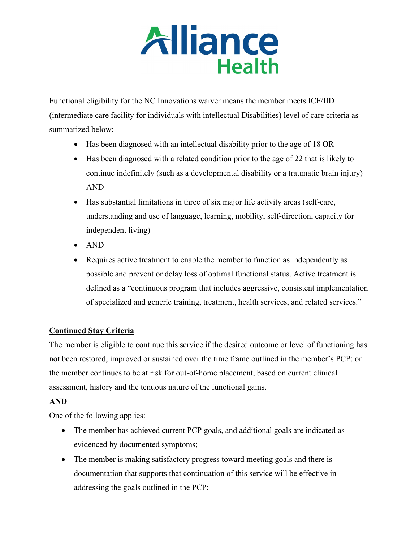

Functional eligibility for the NC Innovations waiver means the member meets ICF/IID (intermediate care facility for individuals with intellectual Disabilities) level of care criteria as summarized below:

- Has been diagnosed with an intellectual disability prior to the age of 18 OR
- Has been diagnosed with a related condition prior to the age of 22 that is likely to continue indefinitely (such as a developmental disability or a traumatic brain injury) AND
- Has substantial limitations in three of six major life activity areas (self-care, understanding and use of language, learning, mobility, self-direction, capacity for independent living)
- AND
- Requires active treatment to enable the member to function as independently as possible and prevent or delay loss of optimal functional status. Active treatment is defined as a "continuous program that includes aggressive, consistent implementation of specialized and generic training, treatment, health services, and related services."

## **Continued Stay Criteria**

The member is eligible to continue this service if the desired outcome or level of functioning has not been restored, improved or sustained over the time frame outlined in the member's PCP; or the member continues to be at risk for out-of-home placement, based on current clinical assessment, history and the tenuous nature of the functional gains.

## **AND**

One of the following applies:

- The member has achieved current PCP goals, and additional goals are indicated as evidenced by documented symptoms;
- The member is making satisfactory progress toward meeting goals and there is documentation that supports that continuation of this service will be effective in addressing the goals outlined in the PCP;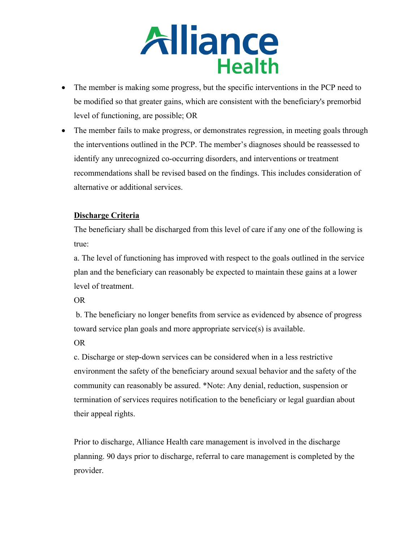

- The member is making some progress, but the specific interventions in the PCP need to be modified so that greater gains, which are consistent with the beneficiary's premorbid level of functioning, are possible; OR
- The member fails to make progress, or demonstrates regression, in meeting goals through the interventions outlined in the PCP. The member's diagnoses should be reassessed to identify any unrecognized co-occurring disorders, and interventions or treatment recommendations shall be revised based on the findings. This includes consideration of alternative or additional services.

## **Discharge Criteria**

The beneficiary shall be discharged from this level of care if any one of the following is true:

a. The level of functioning has improved with respect to the goals outlined in the service plan and the beneficiary can reasonably be expected to maintain these gains at a lower level of treatment.

OR

b. The beneficiary no longer benefits from service as evidenced by absence of progress toward service plan goals and more appropriate service(s) is available.

OR

c. Discharge or step-down services can be considered when in a less restrictive environment the safety of the beneficiary around sexual behavior and the safety of the community can reasonably be assured. \*Note: Any denial, reduction, suspension or termination of services requires notification to the beneficiary or legal guardian about their appeal rights.

Prior to discharge, Alliance Health care management is involved in the discharge planning. 90 days prior to discharge, referral to care management is completed by the provider.